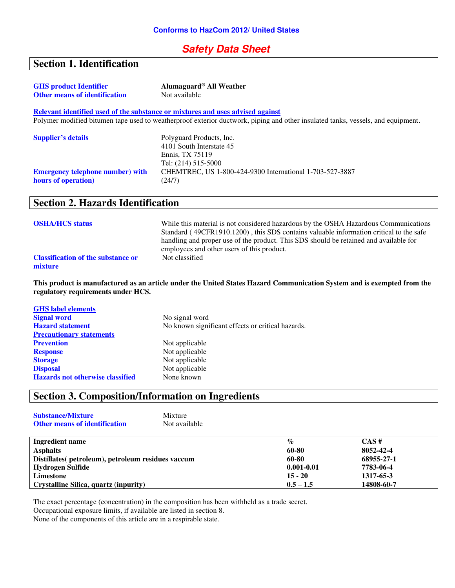## **Safety Data Sheet**

# **Section 1. Identification**

| <b>GHS</b> product Identifier<br><b>Other means of identification</b> | Alumaguard <sup>®</sup> All Weather<br>Not available                                                                            |
|-----------------------------------------------------------------------|---------------------------------------------------------------------------------------------------------------------------------|
|                                                                       |                                                                                                                                 |
|                                                                       | Relevant identified used of the substance or mixtures and uses advised against                                                  |
|                                                                       | Polymer modified bitumen tape used to weatherproof exterior ductwork, piping and other insulated tanks, vessels, and equipment. |
|                                                                       |                                                                                                                                 |
| <b>Supplier's details</b>                                             | Polyguard Products, Inc.                                                                                                        |
|                                                                       | 4101 South Interstate 45                                                                                                        |
|                                                                       | Ennis, TX 75119                                                                                                                 |
|                                                                       | Tel: (214) 515-5000                                                                                                             |
| <b>Emergency telephone number) with</b>                               | CHEMTREC, US 1-800-424-9300 International 1-703-527-3887                                                                        |
| hours of operation)                                                   | (24/7)                                                                                                                          |
|                                                                       |                                                                                                                                 |

## **Section 2. Hazards Identification**

| <b>OSHA/HCS status</b>                               | While this material is not considered hazardous by the OSHA Hazardous Communications<br>Standard (49CFR1910.1200), this SDS contains valuable information critical to the safe<br>handling and proper use of the product. This SDS should be retained and available for<br>employees and other users of this product. |
|------------------------------------------------------|-----------------------------------------------------------------------------------------------------------------------------------------------------------------------------------------------------------------------------------------------------------------------------------------------------------------------|
| <b>Classification of the substance or</b><br>mixture | Not classified                                                                                                                                                                                                                                                                                                        |

**This product is manufactured as an article under the United States Hazard Communication System and is exempted from the regulatory requirements under HCS.** 

| <b>GHS</b> label elements               |                                                   |
|-----------------------------------------|---------------------------------------------------|
| <b>Signal word</b>                      | No signal word                                    |
| <b>Hazard statement</b>                 | No known significant effects or critical hazards. |
| <b>Precautionary statements</b>         |                                                   |
| <b>Prevention</b>                       | Not applicable                                    |
| <b>Response</b>                         | Not applicable                                    |
| <b>Storage</b>                          | Not applicable                                    |
| <b>Disposal</b>                         | Not applicable                                    |
| <b>Hazards not otherwise classified</b> | None known                                        |

# **Section 3. Composition/Information on Ingredients**

| <b>Substance/Mixture</b>             | Mixture       |
|--------------------------------------|---------------|
| <b>Other means of identification</b> | Not available |

| Ingredient name                                    | $\%$           | $CAS \#$   |
|----------------------------------------------------|----------------|------------|
| <b>Asphalts</b>                                    | 60-80          | 8052-42-4  |
| Distillates (petroleum), petroleum residues vaccum | 60-80          | 68955-27-1 |
| Hydrogen Sulfide                                   | $0.001 - 0.01$ | 7783-06-4  |
| Limestone                                          | $15 - 20$      | 1317-65-3  |
| Crystalline Silica, quartz (inpurity)              | $0.5 - 1.5$    | 14808-60-7 |

The exact percentage (concentration) in the composition has been withheld as a trade secret. Occupational exposure limits, if available are listed in section 8.

None of the components of this article are in a respirable state.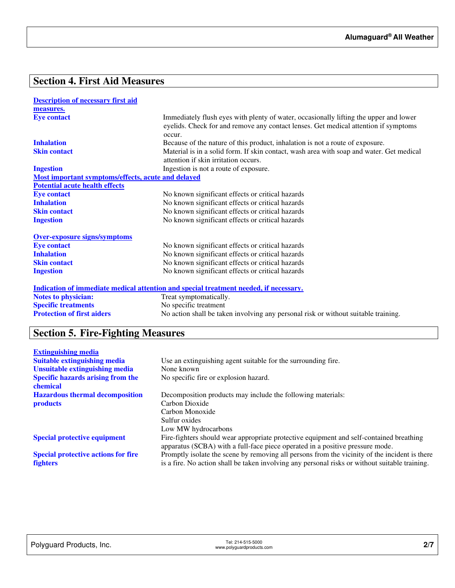# **Section 4. First Aid Measures**

| <b>Description of necessary first aid</b>          |                                                                                                                                                                                        |
|----------------------------------------------------|----------------------------------------------------------------------------------------------------------------------------------------------------------------------------------------|
| measures.                                          |                                                                                                                                                                                        |
| <b>Eye contact</b>                                 | Immediately flush eyes with plenty of water, occasionally lifting the upper and lower<br>eyelids. Check for and remove any contact lenses. Get medical attention if symptoms<br>occur. |
| <b>Inhalation</b>                                  | Because of the nature of this product, inhalation is not a route of exposure.                                                                                                          |
| <b>Skin contact</b>                                | Material is in a solid form. If skin contact, wash area with soap and water. Get medical<br>attention if skin irritation occurs.                                                       |
| <b>Ingestion</b>                                   | Ingestion is not a route of exposure.                                                                                                                                                  |
| Most important symptoms/effects, acute and delayed |                                                                                                                                                                                        |
| <b>Potential acute health effects</b>              |                                                                                                                                                                                        |
| <b>Eye contact</b>                                 | No known significant effects or critical hazards                                                                                                                                       |
| <b>Inhalation</b>                                  | No known significant effects or critical hazards                                                                                                                                       |
| <b>Skin contact</b>                                | No known significant effects or critical hazards                                                                                                                                       |
| <b>Ingestion</b>                                   | No known significant effects or critical hazards                                                                                                                                       |
| <b>Over-exposure signs/symptoms</b>                |                                                                                                                                                                                        |
| <b>Eye contact</b>                                 | No known significant effects or critical hazards                                                                                                                                       |
| <b>Inhalation</b>                                  | No known significant effects or critical hazards                                                                                                                                       |
| <b>Skin contact</b>                                | No known significant effects or critical hazards                                                                                                                                       |
| <b>Ingestion</b>                                   | No known significant effects or critical hazards                                                                                                                                       |
|                                                    | <u>Indication of immediate medical attention and special treatment needed, if necessary.</u>                                                                                           |
| <b>Notes to physician:</b>                         | Treat symptomatically.                                                                                                                                                                 |
| <b>Specific treatments</b>                         | No specific treatment                                                                                                                                                                  |
| <b>Protection of first aiders</b>                  | No action shall be taken involving any personal risk or without suitable training.                                                                                                     |

# **Section 5. Fire-Fighting Measures**

| <b>Extinguishing media</b>                 |                                                                                                |
|--------------------------------------------|------------------------------------------------------------------------------------------------|
| <b>Suitable extinguishing media</b>        | Use an extinguishing agent suitable for the surrounding fire.                                  |
| Unsuitable extinguishing media             | None known                                                                                     |
| <b>Specific hazards arising from the</b>   | No specific fire or explosion hazard.                                                          |
| chemical                                   |                                                                                                |
| <b>Hazardous thermal decomposition</b>     | Decomposition products may include the following materials:                                    |
| <b>products</b>                            | Carbon Dioxide                                                                                 |
|                                            | Carbon Monoxide                                                                                |
|                                            | Sulfur oxides                                                                                  |
|                                            | Low MW hydrocarbons                                                                            |
| <b>Special protective equipment</b>        | Fire-fighters should wear appropriate protective equipment and self-contained breathing        |
|                                            | apparatus (SCBA) with a full-face piece operated in a positive pressure mode.                  |
| <b>Special protective actions for fire</b> | Promptly isolate the scene by removing all persons from the vicinity of the incident is there  |
| <b>fighters</b>                            | is a fire. No action shall be taken involving any personal risks or without suitable training. |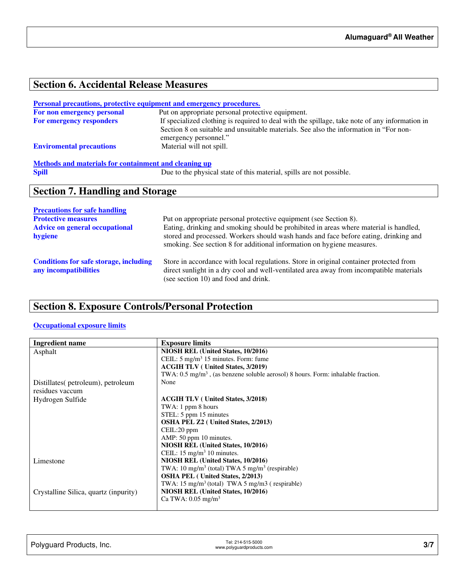# **Section 6. Accidental Release Measures**

#### **Personal precautions, protective equipment and emergency procedures.**

| For non emergency personal      | Put on appropriate personal protective equipment.                                                              |
|---------------------------------|----------------------------------------------------------------------------------------------------------------|
| <b>For emergency responders</b> | If specialized clothing is required to deal with the spillage, take note of any information in                 |
|                                 | Section 8 on suitable and unsuitable materials. See also the information in "For non-<br>emergency personnel." |
| <b>Enviromental precautions</b> | Material will not spill.                                                                                       |
|                                 |                                                                                                                |

# **Methods and materials for containment and cleaning up**<br> **Spill** Due to the physic

Due to the physical state of this material, spills are not possible.

## **Section 7. Handling and Storage**

| <b>Precautions for safe handling</b>                                   |                                                                                                                                                                                                                                                         |
|------------------------------------------------------------------------|---------------------------------------------------------------------------------------------------------------------------------------------------------------------------------------------------------------------------------------------------------|
| <b>Protective measures</b>                                             | Put on appropriate personal protective equipment (see Section 8).                                                                                                                                                                                       |
| <b>Advice on general occupational</b><br>hygiene                       | Eating, drinking and smoking should be prohibited in areas where material is handled,<br>stored and processed. Workers should wash hands and face before eating, drinking and<br>smoking. See section 8 for additional information on hygiene measures. |
| <b>Conditions for safe storage, including</b><br>any incompatibilities | Store in accordance with local regulations. Store in original container protected from<br>direct sunlight in a dry cool and well-ventilated area away from incompatible materials<br>(see section 10) and food and drink.                               |

# **Section 8. Exposure Controls/Personal Protection**

#### **Occupational exposure limits**

| <b>Ingredient name</b>                | <b>Exposure limits</b>                                                                      |
|---------------------------------------|---------------------------------------------------------------------------------------------|
| Asphalt                               | NIOSH REL (United States, 10/2016)                                                          |
|                                       | CEIL: 5 mg/m <sup>3</sup> 15 minutes. Form: fume                                            |
|                                       | <b>ACGIH TLV</b> (United States, 3/2019)                                                    |
|                                       | TWA: $0.5 \text{ mg/m}^3$ , (as benzene soluble aerosol) 8 hours. Form: inhalable fraction. |
| Distillates (petroleum), petroleum    | None                                                                                        |
| residues vaccum                       |                                                                                             |
| Hydrogen Sulfide                      | <b>ACGIH TLV</b> (United States, 3/2018)                                                    |
|                                       | TWA: 1 ppm 8 hours                                                                          |
|                                       | STEL: 5 ppm 15 minutes                                                                      |
|                                       | <b>OSHA PEL Z2</b> ( United States, 2/2013)                                                 |
|                                       | CEIL:20 ppm                                                                                 |
|                                       | AMP: 50 ppm 10 minutes.                                                                     |
|                                       | NIOSH REL (United States, 10/2016)                                                          |
|                                       | CEIL: $15 \text{ mg/m}^3$ 10 minutes.                                                       |
| Limestone                             | NIOSH REL (United States, 10/2016)                                                          |
|                                       | TWA: 10 mg/m <sup>3</sup> (total) TWA 5 mg/m <sup>3</sup> (respirable)                      |
|                                       | <b>OSHA PEL</b> (United States, 2/2013)                                                     |
|                                       | TWA: $15 \text{ mg/m}^3$ (total) TWA 5 mg/m3 (respirable)                                   |
| Crystalline Silica, quartz (inpurity) | NIOSH REL (United States, 10/2016)                                                          |
|                                       | Ca TWA: $0.05$ mg/m <sup>3</sup>                                                            |
|                                       |                                                                                             |

| Polyguard Products, Inc. | Tel: 214-515-5000<br>www.polyguardproducts.com | ، رحب |
|--------------------------|------------------------------------------------|-------|
|                          |                                                |       |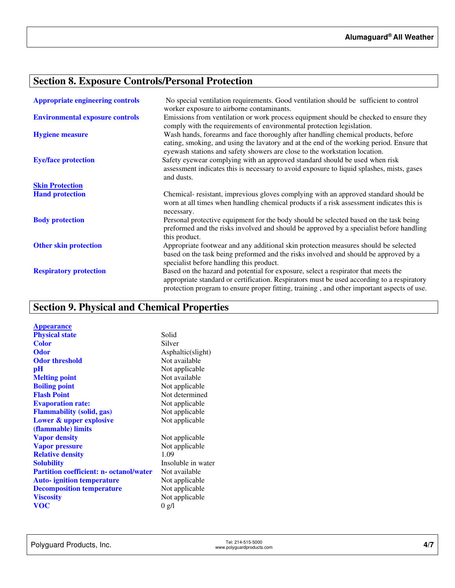# **Section 8. Exposure Controls/Personal Protection**

| <b>Appropriate engineering controls</b> | No special ventilation requirements. Good ventilation should be sufficient to control<br>worker exposure to airborne contaminants.                                                                                                                                             |
|-----------------------------------------|--------------------------------------------------------------------------------------------------------------------------------------------------------------------------------------------------------------------------------------------------------------------------------|
| <b>Environmental exposure controls</b>  | Emissions from ventilation or work process equipment should be checked to ensure they<br>comply with the requirements of environmental protection legislation.                                                                                                                 |
| <b>Hygiene measure</b>                  | Wash hands, forearms and face thoroughly after handling chemical products, before<br>eating, smoking, and using the lavatory and at the end of the working period. Ensure that<br>eyewash stations and safety showers are close to the workstation location.                   |
| <b>Eye/face protection</b>              | Safety eyewear complying with an approved standard should be used when risk<br>assessment indicates this is necessary to avoid exposure to liquid splashes, mists, gases<br>and dusts.                                                                                         |
| <b>Skin Protection</b>                  |                                                                                                                                                                                                                                                                                |
| <b>Hand protection</b>                  | Chemical-resistant, imprevious gloves complying with an approved standard should be<br>worn at all times when handling chemical products if a risk assessment indicates this is<br>necessary.                                                                                  |
| <b>Body protection</b>                  | Personal protective equipment for the body should be selected based on the task being<br>preformed and the risks involved and should be approved by a specialist before handling<br>this product.                                                                              |
| <b>Other skin protection</b>            | Appropriate footwear and any additional skin protection measures should be selected<br>based on the task being preformed and the risks involved and should be approved by a<br>specialist before handling this product.                                                        |
| <b>Respiratory protection</b>           | Based on the hazard and potential for exposure, select a respirator that meets the<br>appropriate standard or certification. Respirators must be used according to a respiratory<br>protection program to ensure proper fitting, training, and other important aspects of use. |

# **Section 9. Physical and Chemical Properties**

| <b>Appearance</b>                              |                    |
|------------------------------------------------|--------------------|
| <b>Physical state</b>                          | Solid              |
| <b>Color</b>                                   | Silver             |
| <b>Odor</b>                                    | Asphaltic(slight)  |
| <b>Odor threshold</b>                          | Not available      |
| pH                                             | Not applicable     |
| <b>Melting point</b>                           | Not available      |
| <b>Boiling point</b>                           | Not applicable     |
| <b>Flash Point</b>                             | Not determined     |
| <b>Evaporation rate:</b>                       | Not applicable     |
| <b>Flammability (solid, gas)</b>               | Not applicable     |
| Lower & upper explosive                        | Not applicable     |
| (flammable) limits                             |                    |
| <b>Vapor density</b>                           | Not applicable     |
| <b>Vapor pressure</b>                          | Not applicable     |
| <b>Relative density</b>                        | 1.09               |
| <b>Solubility</b>                              | Insoluble in water |
| <b>Partition coefficient: n- octanol/water</b> | Not available      |
| <b>Auto-</b> ignition temperature              | Not applicable     |
| <b>Decomposition temperature</b>               | Not applicable     |
| <b>Viscosity</b>                               | Not applicable     |
| <b>VOC</b>                                     | 0 g/l              |
|                                                |                    |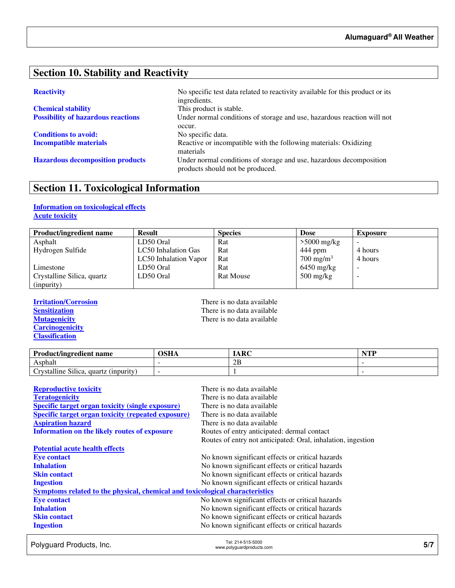## **Section 10. Stability and Reactivity**

| <b>Chemical stability</b>                 |  |
|-------------------------------------------|--|
| <b>Possibility of hazardous reactions</b> |  |

**Conditions to avoid:** No specific data.

**Reactivity No specific test data related to reactivity available for this product or its** ingredients. This product is stable. Under normal conditions of storage and use, hazardous reaction will not occur. **Incompatible materials Reactive or incompatible with the following materials: Oxidizing** materials **Hazardous decomposition products** Under normal conditions of storage and use, hazardous decomposition products should not be produced.

# **Section 11. Toxicological Information**

## **Information on toxicological effects Acute toxicity**

| <b>Product/ingredient name</b> | <b>Result</b>         | <b>Species</b>   | <b>Dose</b>                       | <b>Exposure</b> |
|--------------------------------|-----------------------|------------------|-----------------------------------|-----------------|
| Asphalt                        | LD50 Oral             | Rat              | $>5000$ mg/kg                     |                 |
| Hydrogen Sulfide               | LC50 Inhalation Gas   | Rat              | 444 ppm                           | 4 hours         |
|                                | LC50 Inhalation Vapor | Rat              | $700 \text{ mg/m}^3$              | 4 hours         |
| Limestone                      | LD50 Oral             | Rat              | $6450$ mg/kg                      |                 |
| Crystalline Silica, quartz     | LD50 Oral             | <b>Rat Mouse</b> | $500 \frac{\text{mg}}{\text{kg}}$ | -               |
| (inpurity)                     |                       |                  |                                   |                 |

**Carcinogenicity Classification** 

**Irritation/Corrosion**<br> **IFREP Sensitization**<br> **IFREP Sensitization**<br> **IFREP SENSITY SENSITY SENSITY SENSITY SENSITY SENSITY SENSITY SENSITY SENSITY SENSITY SENSITY SENSITY SENSITY SENSITY SENSITY SENSITY SENSITY SENSITY S Sensitization**<br> **Nutagenicity**<br> **There is no data available**<br> **There is no data available** There is no data available

| <b>Product/ingredient name</b>                           | OSHA | ARC | $\blacksquare$ |
|----------------------------------------------------------|------|-----|----------------|
| Asphalt                                                  |      | 2B  |                |
| $\sim$<br>11.<br>rvstalline Silica.<br>quartz (inpurity) |      |     |                |

| <b>Reproductive toxicity</b>                                                 | There is no data available                                   |
|------------------------------------------------------------------------------|--------------------------------------------------------------|
| <b>Teratogenicity</b>                                                        | There is no data available                                   |
| <b>Specific target organ toxicity (single exposure)</b>                      | There is no data available                                   |
| <b>Specific target organ toxicity (repeated exposure)</b>                    | There is no data available                                   |
| <b>Aspiration hazard</b>                                                     | There is no data available                                   |
| <b>Information on the likely routes of exposure</b>                          | Routes of entry anticipated: dermal contact                  |
|                                                                              | Routes of entry not anticipated: Oral, inhalation, ingestion |
| <b>Potential acute health effects</b>                                        |                                                              |
| <b>Eye contact</b>                                                           | No known significant effects or critical hazards             |
| <b>Inhalation</b>                                                            | No known significant effects or critical hazards             |
| <b>Skin contact</b>                                                          | No known significant effects or critical hazards             |
| <b>Ingestion</b>                                                             | No known significant effects or critical hazards             |
| Symptoms related to the physical, chemical and toxicological characteristics |                                                              |
| <b>Eye contact</b>                                                           | No known significant effects or critical hazards             |
| <b>Inhalation</b>                                                            | No known significant effects or critical hazards             |
| <b>Skin contact</b>                                                          | No known significant effects or critical hazards             |
| <b>Ingestion</b>                                                             | No known significant effects or critical hazards             |

Polyguard Products, Inc. Tel: 214-515-5000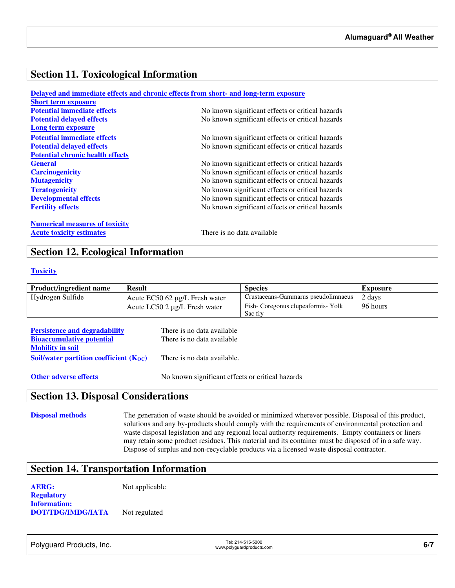## **Section 11. Toxicological Information**

|                                         | Delayed and immediate effects and chronic effects from short- and long-term exposure |
|-----------------------------------------|--------------------------------------------------------------------------------------|
| <b>Short term exposure</b>              |                                                                                      |
| <b>Potential immediate effects</b>      | No known significant effects or critical hazards                                     |
| <b>Potential delayed effects</b>        | No known significant effects or critical hazards                                     |
| Long term exposure                      |                                                                                      |
| <b>Potential immediate effects</b>      | No known significant effects or critical hazards                                     |
| <b>Potential delayed effects</b>        | No known significant effects or critical hazards                                     |
| <b>Potential chronic health effects</b> |                                                                                      |
| <b>General</b>                          | No known significant effects or critical hazards                                     |
| <b>Carcinogenicity</b>                  | No known significant effects or critical hazards                                     |
| <b>Mutagenicity</b>                     | No known significant effects or critical hazards                                     |
| <b>Teratogenicity</b>                   | No known significant effects or critical hazards                                     |
| <b>Developmental effects</b>            | No known significant effects or critical hazards                                     |
| <b>Fertility effects</b>                | No known significant effects or critical hazards                                     |
| <b>Numerical measures of toxicity</b>   |                                                                                      |
| <b>Acute toxicity estimates</b>         | There is no data available                                                           |

## **Section 12. Ecological Information**

### **Toxicity**

| <b>Product/ingredient name</b> | <b>Result</b>                  | <b>Species</b>                      | Exposure |
|--------------------------------|--------------------------------|-------------------------------------|----------|
| Hydrogen Sulfide               | Acute EC50 62 μg/L Fresh water | Crustaceans-Gammarus pseudolimnaeus | 2 days   |
|                                | Acute LC50 2 µg/L Fresh water  | Fish-Coregonus clupeaformis-Yolk    | 96 hours |
|                                |                                | Sac fry                             |          |

| <b>Persistence and degradability</b>        | There is no data available  |
|---------------------------------------------|-----------------------------|
| <b>Bioaccumulative potential</b>            | There is no data available. |
| <b>Mobility in soil</b>                     |                             |
| Soil/water partition coefficient $(K_{OC})$ | There is no data available. |
|                                             |                             |

**Other adverse effects** No known significant effects or critical hazards

## **Section 13. Disposal Considerations**

**Disposal methods** The generation of waste should be avoided or minimized wherever possible. Disposal of this product, solutions and any by-products should comply with the requirements of environmental protection and waste disposal legislation and any regional local authority requirements. Empty containers or liners may retain some product residues. This material and its container must be disposed of in a safe way. Dispose of surplus and non-recyclable products via a licensed waste disposal contractor.

## **Section 14. Transportation Information**

**AERG:** Not applicable **Regulatory Information: DOT/TDG/IMDG/IATA** Not regulated

Polyguard Products, Inc. Tel: 214-515-5000

Tel: 214-515-5000<br>www.polyguardproducts.com **6/7**